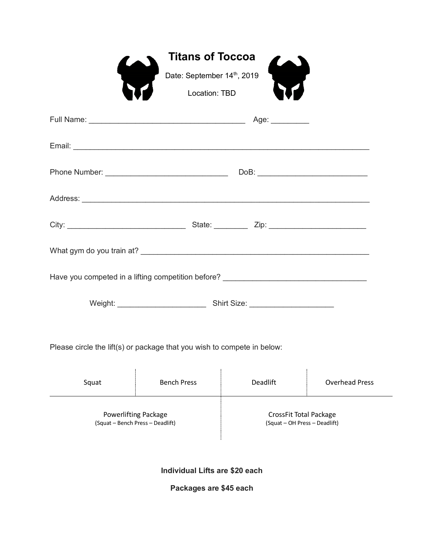|                                                                                  | <b>Titans of Toccoa</b>                 |          |                       |  |  |
|----------------------------------------------------------------------------------|-----------------------------------------|----------|-----------------------|--|--|
|                                                                                  | $\bullet$<br>Date: September 14th, 2019 | $\sum$   |                       |  |  |
|                                                                                  | <b>Location: TBD</b>                    |          |                       |  |  |
|                                                                                  |                                         |          |                       |  |  |
|                                                                                  |                                         |          |                       |  |  |
|                                                                                  |                                         |          |                       |  |  |
|                                                                                  |                                         |          |                       |  |  |
|                                                                                  |                                         |          |                       |  |  |
|                                                                                  |                                         |          |                       |  |  |
| Have you competed in a lifting competition before? _____________________________ |                                         |          |                       |  |  |
|                                                                                  |                                         |          |                       |  |  |
| Please circle the lift(s) or package that you wish to compete in below:          |                                         |          |                       |  |  |
| Squat                                                                            | <b>Bench Press</b>                      | Deadlift | <b>Overhead Press</b> |  |  |
|                                                                                  |                                         |          |                       |  |  |

Powerlifting Package (Squat – Bench Press – Deadlift)

CrossFit Total Package (Squat – OH Press – Deadlift)

**Individual Lifts are \$20 each**

**Packages are \$45 each**